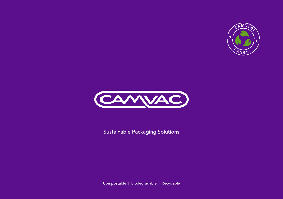



Sustainable Packaging Solutions

Compostable | Biodegradable | Recyclable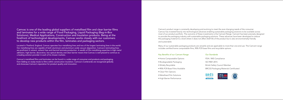### Camvac is one of the leading global suppliers of metallised film and clear barrier films and laminates for a wide range of Food Packaging, Liquid Packaging (Bag-in-Box Solutions), Medical Applications, Construction and Insulation products. Being at the forefront of technological developments, Camvac works closely with our customers to develop new products within the film, laminates and packaging sectors.

Located in Thetford, England, Camvac operates four metallising lines and two of the largest laminating lines in the world. Our metallising lines are capable of both aluminium and aluminium oxide vacuum deposition. Camvac's laminating lines are proficient in solvent, solvent free and thermal laminate production. A wealth of film metallising expertise in high metal adhesion, high barrier, decorative, low optical density and clear barrier means that Camvac is well placed to continue as a leading solution provider in each of its chosen markets.

Camvac's metallised films and laminates can be found in a wide range of consumer end products and packaging, from lidding on ready-meals to films within construction insulation. Camvac's Cambrands are recognised globally and showcase Camvac's reputation for product quality and innovation.

Camvac's product range is constantly developing and evolving to meet the ever-changing needs of the consumer. Camvac has invested heavily into technological advances enabling sustainable packaging solutions to be available across most of our product portfolio. The outcome of these investments is the Camvert Range. Camvert has been precisely designed to provide the packaging industry with sustainable packaging solutions. These advances have been developed to reduce the packaging material to a level where it does not affect shelf life of the product but is also environmentally friendly and sustainable.

Many of our sustainable packaging products are versatile and are applicable to more than one end use. The Camvert range includes certified home compostable films, 90% PCR base films and recyclable options.

#### Key Benefits of our Camvert Range

- Home Compostable Options
- Biodegradable Packaging
- Widely Recyclable
- 90% PCR Base Films Available
- Clear Film Options
- Metallised Film Solutions
- High Barrier Performance



### Our Standards

FDA / IMS Compliance

ISO 9001:2015

British Safety Council Member

BRCGS Packaging Materials Certificated



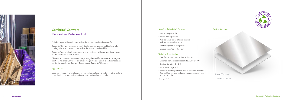

## Cambrite® Camvert Decorative Metallised Film

Fully biodegradable and compostable decorative metallised acetate film.

Cambrite® Camvert is a premium solution for brands who are looking for a fully biodegradable and home compostable decorative metallised film.

Cambrite® was originally developed to give maximum brilliance and visual impact for the board lamination market.

Changes in consumer habits and the growing demand for sustainable packaging solutions have led Camvac to develop a range of biodegradable and compostable barrier films under our Camvert Range named Cambrite® Camvert.

### Applications

Used for a range of laminate applications including luxury brand decorative cartons, board lamination, point of sale display items and packaging labels.

### Typical Structure



Acetate 14 - 95µm

#### Benefits of Cambrite® Camvert

- Home compostable
- Home biodegradable
- Available in a range of base colours with a mirror-like brilliance
- Print and graphics receptivity
- Unique patented technology

### Technical Specification

- Certified home compostable to EN13432
- Certified home biodegradable to ASTM D6400
- Optical density; 1.8 2.2\*
- Haze percentage; 0.7
- Base film made up of over 80% of cellulose diacetate. Derived from natural cellulose sources, cotton linters and wood pulp
- \* Or as specified by end user

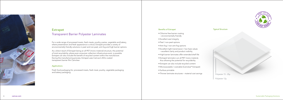

## Extrapet Transparent Barrier Polyester Laminates

For a wide range of processed meats, fresh meats, poultry, pastas, vegetable and bakery, where presentation and fresh appearance is critical, Extrapet provides a variety of environmentally friendly solutions in peel and non-peel, anti-fog and high barrier options.

As a direct result of Extrapet being an all PET (mono material) structure, the potential of total recyclability, where post-consumer collection infrastructure exist, is possible. Extrapet can also include the benefit of recycled content within the manufacture. During the manufacturing process, Extrapet uses Camvac's AlOx coated transparent barrier film Camclear.

### Applications

Fresh food packaging for; processed meats, fresh meat, poultry, vegetable packaging and bakery packaging .

### Benefits of Extrapet

- Chlorine free barrier coating – environmentally friendly
- Excellent seal integrity
- Peel / non-peel options
- Anti-fog / non-anti-fog options
- Excellent light transmission / low haze values – excellent clarity and product visibility
- High barrier laminates offer extended shelf life
- Extrapet laminate is an all PET mono material, thus allowing the potential for recyclability
- Extrapet can also include recycled content
- Microwaveable / ovenable (Camclear ® Extrapet)
- Surface printable
- Thinner laminate structures material cost savings

### Typical Structure



Polyester 12µ

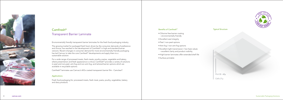

## Camfresh ® Transparent Barrier Laminate

Environmentally friendly transparent barrier laminates for the fresh food packaging industry.

The growing market for packaged fresh food, driven by the consumer demands of preference and choice, has resulted in the development of Camfresh ® in high and standard barrier versions. Recent changes in consumer demand for more environmentally friendly packaging has led Camvac to take the core Camfresh ® developments and apply them to a sustainable solution.

For a wide range of processed meats, fresh meats, poultry, pastas, vegetable and bakery, where presentation and fresh appearance is critical, Camfresh ® provides a variety of solutions in peel and non-peel, anti-fog and non-anti-fog, and tailored barrier options which are available in recyclable options.

Camfresh ® laminates use Camvac's AlOx coated transparent barrier film - Camclear ® .

#### Applications

Fresh food packaging for; processed meats, fresh meat, pasta, poultry, vegetables, bakery and dairy products .

### Benefits of Camfresh ®

- Chlorine free barrier coating – environmentally friendly
- Excellent seal integrity
- Peel / non-peel options
- Anti-fog / non-anti-fog options
- Excellent light transmission / low haze values – excellent clarity and product visibility
- High barrier laminates offer extended shelf life
- Surface printable

### Typical Structure



Cello 21µ

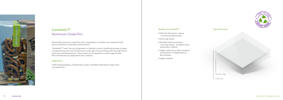

## Camshield T ® Aluminium Oxide Film

Sustainable aluminium oxide films with a proprietary in-chamber top coating for both barrier protection and product enhancement.

Camshield T ® uses Camvac's proprietary in-chamber vacuum metallising process to apply a protective topcoat over the aluminium oxide layer, thus providing both very high barrier protection and enhancement. This process can be applied to a wide range of base films and the end use applications are numerous.

### Applications

Fresh food packaging, confectionery, snacks, retortable applications, bag-in-box and dried fruits.

### Benefits of Camshield T ®

- Chlorine free barrier coating – environmentally friendly
- Extra high barrier
- Excellent light transmission / low haze values – excellent clarity and product visibility
- Higher yield versus other structures as the barrier is independent of film thickness
- Highly versatile

### Typical Structure



Cello 21µ

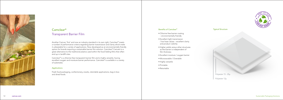

## Camclear ® Transparent Barrier Film

Another Camvac 'first' and now an industry standard in its own right, Camclear ® meets a number of performance criteria regarding barrier transmission and clarity which make it unbeatable for a variety of applications. Now developed as an environmentally friendly option for brands requiring a sustainable barrier film solution. Camclear ® Camvert is a great alternative to the traditional plastics used within the food lidding films that often end up in landfill sites.

Camclear ® is a chlorine-free transparent barrier film and is highly versatile, having excellent oxygen and moisture barrier performance. Camclear ® is available in a variety of substrates.

### Applications

Fresh food packaging, confectionery, snacks, retortable applications, bag-in-box and dried foods.

#### Benefits of Camclear ®

- Chlorine free barrier coating – environmentally friendly
- Excellent light transmission / low haze values – excellent clarity and product visibility
- Higher yields versus other structures as the barrier is independent of film thickness
- Excellent moisture / oxygen barrier
- Microwavable / Ovenable
- Highly versatile
- Printable
- Retortable

### Typical Structure

Polyester 15 - 25µ

Polyester 12µ

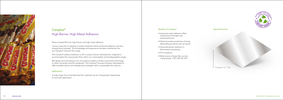

# Camplus ® High Barrier, High Metal Adhesion

Plasma treated films for high barrier and high metal adhesion.

Camvac were first to develop a surface treatment which enhanced adhesion and thus interply bond strength. This knowledge and experience has been transferred into our Camplus ® Camvert film range.

The Camplus ® plasma treatment is still a unique Camvac development, adapted to accommodate the varying base films within our compostable and biodegradable ranges.

We design and manufacture our own plasma treaters and also license the technology to other converters and film producers. The Camplus ® process has been developed to offer excellent barrier and interply bond strength within a sustainable film solution.

### Applications

A wide range of eco-friendly base film materials can be 'Camplussed' depending on end user application.

### Benefits of Camplus ®

- Improved metal adhesion offers interply bond strength and enhanced barrier
- Optimal product protection of more demanding products such as liquids
- Improved barrier retention in downstream processing
- Print receptive
- Wide choice of base films can be 'Camplussed'. CPP, OPP, PE, PET

### Typical Structure